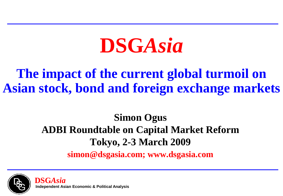# **DSG***Asia*

### **The impact of the current global turmoil on Asian stock, bond and foreign exchange markets**

### **Simon Ogus ADBI Roundtable on Capital Market Reform Tokyo, 2-3 March 2009**

**simon@dsgasia.com; www.dsgasia.com**

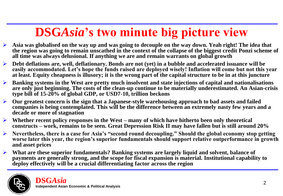## **DSG***Asia***'s two minute big picture view**

- **Asia was globalised on the way up and was going to decouple on the way down. Yeah right! The idea that the region was going to remain unscathed in the context of the collapse of the biggest credit Ponzi scheme of all time was always delusional. If anything we are and remain warrants on global growth**
- **Debt deflations are, well, deflationary. Bonds are not (yet) in a bubble and accelerated issuance will be easily accommodated. Let's hope the funds raised are deployed wisely! Inflation will come but not this year at least. Equity cheapness is illusory; it is the wrong part of the capital structure to be in at this juncture**
- **Banking systems in the West are pretty much insolvent and state injections of capital and nationalisations are only just beginning. The costs of the clean-up continue to be materially underestimated. An Asian-crisis type bill of 15-20% of global GDP, or USD7-10, trillion beckons**
- **Our greatest concern is the sign that a Japanese-style warehousing approach to bad assets and failed companies is being contemplated. This will be the difference between an extremely nasty few years and a decade or more of stagnation**
- **Whether recent policy responses in the West – many of which have hitherto been only theoretical constructs – work, remains to be seen. Great Depression Risk II may have fallen but is still around 20%**
- **Nevertheless, there is a case for Asia's "second round decoupling." Should the global economy stop getting**  worse later this year, the region's superior fundamentals should support relative outperformance in growth **and asset prices**
- **What are these superior fundamentals? Banking systems are largely liquid and solvent, balance of payments are generally strong, and the scope for fiscal expansion is material. Institutional capability to deploy effectively will be a crucial differentiating factor across the region**

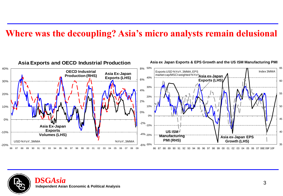#### **Where was the decoupling? Asia's micro analysts remain delusional**



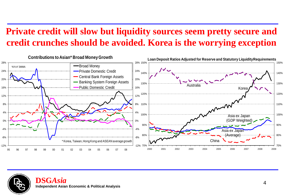### **Private credit will slow but liquidity sources seem pretty secure and credit crunches should be avoided. Korea is the worrying exception**



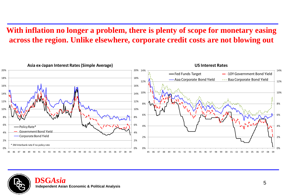#### **With inflation no longer a problem, there is plenty of scope for monetary easing across the region. Unlike elsewhere, corporate credit costs are not blowing out**



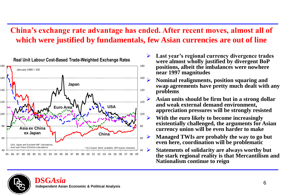#### **China's exchange rate advantage has ended. After recent moves, almost all of which were justified by fundamentals, few Asian currencies are out of line**



- **Last year's regional currency divergence trades were almost wholly justified by divergent BoP positions, albeit the imbalances were nowhere near 1997 magnitudes**
	- **Nominal realignments, position squaring and swap agreements have pretty much dealt with any problems**
		- **Asian units should be firm but in a strong dollar and weak external demand environment, appreciation pressures will be strongly resisted**
- **With the euro likely to become increasingly existentially challenged, the arguments for Asian currency union will be even harder to make**
- **Managed TWIs are probably the way to go but even here, coordination will be problematic**
- **Statements of solidarity are always worthy but the stark regional reality is that Mercantilism and Nationalism continue to reign**

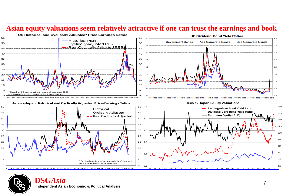





#### **Asia ex-Japan Historical and Cyclically Adjusted Price-Earnings Ratios**





**DSG***Asia* <sup>7</sup> **Independent Asian Economic & Political Analysis**